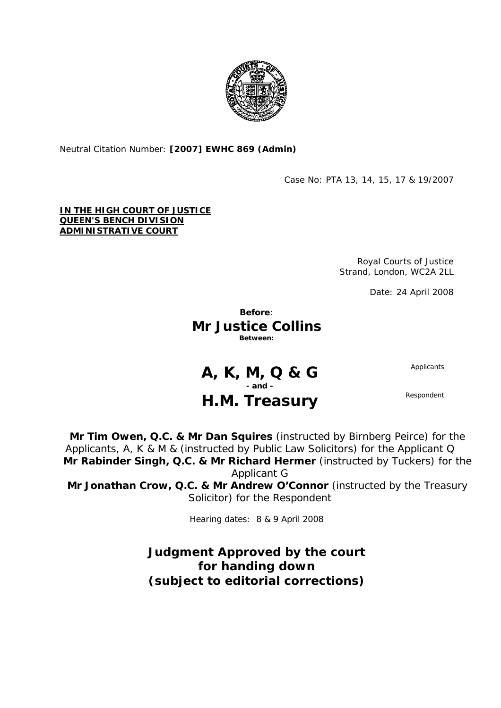

Neutral Citation Number: **[2007] EWHC 869 (Admin)** 

Case No: PTA 13, 14, 15, 17 & 19/2007

## **IN THE HIGH COURT OF JUSTICE QUEEN'S BENCH DIVISION ADMINISTRATIVE COURT**

Royal Courts of Justice Strand, London, WC2A 2LL

Date: 24 April 2008

**Before**: **Mr Justice Collins Between:** 

**A, K, M, Q & G** Applicants

**- and -** 

## H.M. Treasury Respondent

**Mr Tim Owen, Q.C. & Mr Dan Squires** (instructed by Birnberg Peirce) for the Applicants, A, K & M & (instructed by Public Law Solicitors) for the Applicant Q **Mr Rabinder Singh, Q.C. & Mr Richard Hermer** (instructed by Tuckers) for the Applicant G

**Mr Jonathan Crow, Q.C. & Mr Andrew O'Connor** (instructed by the Treasury Solicitor) for the Respondent

Hearing dates: 8 & 9 April 2008

**Judgment Approved by the court for handing down (subject to editorial corrections)**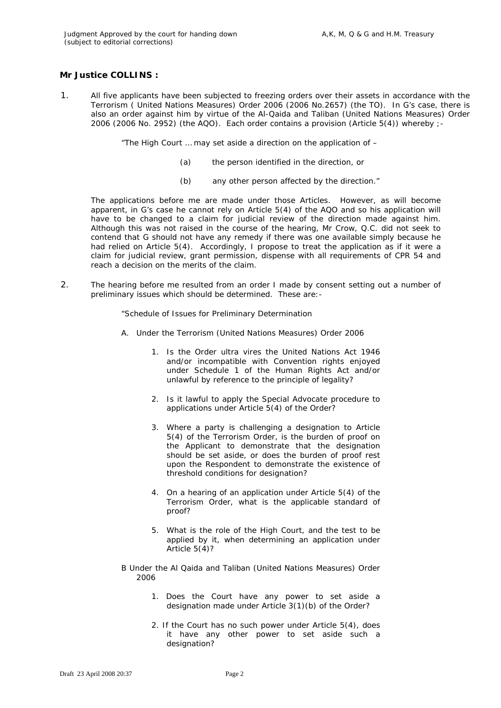## **Mr Justice COLLINS :**

1. All five applicants have been subjected to freezing orders over their assets in accordance with the Terrorism ( United Nations Measures) Order 2006 (2006 No.2657) (the TO). In G's case, there is also an order against him by virtue of the Al-Qaida and Taliban (United Nations Measures) Order 2006 (2006 No. 2952) (the AQO). Each order contains a provision (Article 5(4)) whereby ;-

"The High Court … may set aside a direction on the application of –

- (a) the person identified in the direction, or
- (b) any other person affected by the direction."

The applications before me are made under those Articles. However, as will become apparent, in G's case he cannot rely on Article 5(4) of the AQO and so his application will have to be changed to a claim for judicial review of the direction made against him. Although this was not raised in the course of the hearing, Mr Crow, Q.C. did not seek to contend that G should not have any remedy if there was one available simply because he had relied on Article 5(4). Accordingly, I propose to treat the application as if it were a claim for judicial review, grant permission, dispense with all requirements of CPR 54 and reach a decision on the merits of the claim.

2. The hearing before me resulted from an order I made by consent setting out a number of preliminary issues which should be determined. These are:-

"Schedule of Issues for Preliminary Determination

- A. *Under the Terrorism (United Nations Measures) Order 2006* 
	- 1. Is the Order ultra vires the United Nations Act 1946 and/or incompatible with Convention rights enjoyed under Schedule 1 of the Human Rights Act and/or unlawful by reference to the principle of legality?
	- 2. Is it lawful to apply the Special Advocate procedure to applications under Article 5(4) of the Order?
	- 3. Where a party is challenging a designation to Article 5(4) of the Terrorism Order, is the burden of proof on the Applicant to demonstrate that the designation should be set aside, or does the burden of proof rest upon the Respondent to demonstrate the existence of threshold conditions for designation?
	- 4. On a hearing of an application under Article 5(4) of the Terrorism Order, what is the applicable standard of proof?
	- 5. What is the role of the High Court, and the test to be applied by it, when determining an application under Article 5(4)?
- B *Under the Al Qaida and Taliban (United Nations Measures) Order 2006* 
	- 1. Does the Court have any power to set aside a designation made under Article 3(1)(b) of the Order?
	- 2. If the Court has no such power under Article 5(4), does it have any other power to set aside such a designation?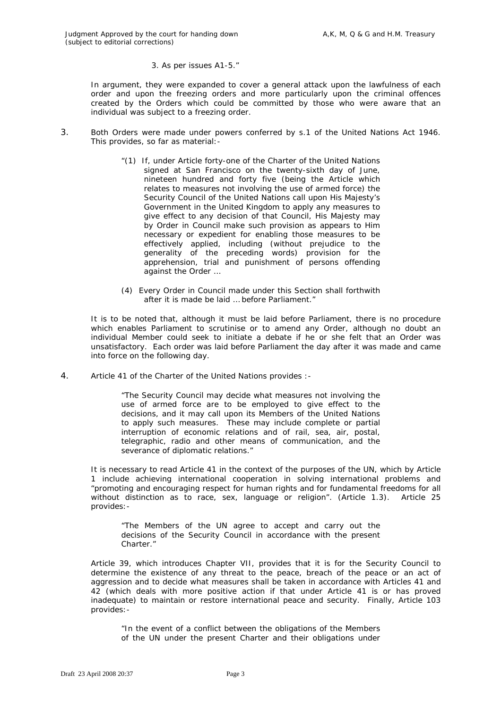## 3. As per issues A1-5."

 In argument, they were expanded to cover a general attack upon the lawfulness of each order and upon the freezing orders and more particularly upon the criminal offences created by the Orders which could be committed by those who were aware that an individual was subject to a freezing order.

- 3. Both Orders were made under powers conferred by s.1 of the United Nations Act 1946. This provides, so far as material:-
	- "(1) If, under Article forty-one of the Charter of the United Nations signed at San Francisco on the twenty-sixth day of June, nineteen hundred and forty five (being the Article which relates to measures not involving the use of armed force) the Security Council of the United Nations call upon His Majesty's Government in the United Kingdom to apply any measures to give effect to any decision of that Council, His Majesty may by Order in Council make such provision as appears to Him necessary or expedient for enabling those measures to be effectively applied, including (without prejudice to the generality of the preceding words) provision for the apprehension, trial and punishment of persons offending against the Order …
	- (4) Every Order in Council made under this Section shall forthwith after it is made be laid … before Parliament."

It is to be noted that, although it must be laid before Parliament, there is no procedure which enables Parliament to scrutinise or to amend any Order, although no doubt an individual Member could seek to initiate a debate if he or she felt that an Order was unsatisfactory. Each order was laid before Parliament the day after it was made and came into force on the following day.

4. Article 41 of the Charter of the United Nations provides :-

"The Security Council may decide what measures not involving the use of armed force are to be employed to give effect to the decisions, and it may call upon its Members of the United Nations to apply such measures. These may include complete or partial interruption of economic relations and of rail, sea, air, postal, telegraphic, radio and other means of communication, and the severance of diplomatic relations."

It is necessary to read Article 41 in the context of the purposes of the UN, which by Article 1 include achieving international cooperation in solving international problems and "promoting and encouraging respect for human rights and for fundamental freedoms for all without distinction as to race, sex, language or religion". (Article 1.3). Article 25 provides:-

"The Members of the UN agree to accept and carry out the decisions of the Security Council in accordance with the present Charter."

Article 39, which introduces Chapter VII, provides that it is for the Security Council to determine the existence of any threat to the peace, breach of the peace or an act of aggression and to decide what measures shall be taken in accordance with Articles 41 and 42 (which deals with more positive action if that under Article 41 is or has proved inadequate) to maintain or restore international peace and security. Finally, Article 103 provides:-

"In the event of a conflict between the obligations of the Members of the UN under the present Charter and their obligations under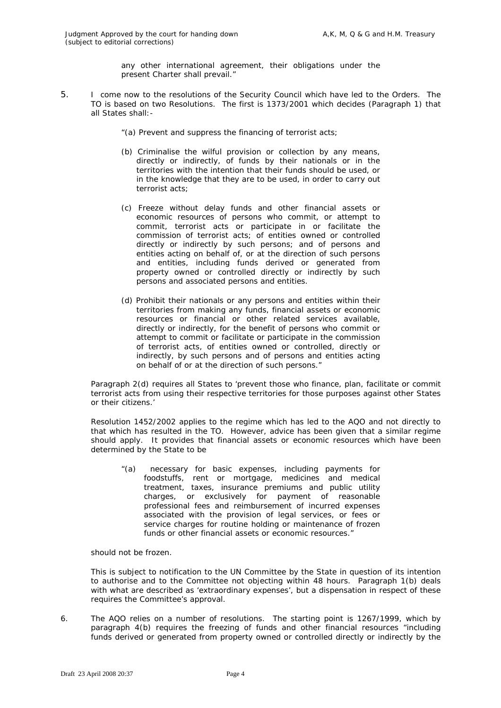any other international agreement, their obligations under the present Charter shall prevail."

- 5. I come now to the resolutions of the Security Council which have led to the Orders. The TO is based on two Resolutions. The first is 1373/2001 which decides (Paragraph 1) that all States shall:-
	- "(a) Prevent and suppress the financing of terrorist acts;
	- (b) Criminalise the wilful provision or collection by any means, directly or indirectly, of funds by their nationals or in the territories with the intention that their funds should be used, or in the knowledge that they are to be used, in order to carry out terrorist acts;
	- (c) Freeze without delay funds and other financial assets or economic resources of persons who commit, or attempt to commit, terrorist acts or participate in or facilitate the commission of terrorist acts; of entities owned or controlled directly or indirectly by such persons; and of persons and entities acting on behalf of, or at the direction of such persons and entities, including funds derived or generated from property owned or controlled directly or indirectly by such persons and associated persons and entities.
	- (d) Prohibit their nationals or any persons and entities within their territories from making any funds, financial assets or economic resources or financial or other related services available, directly or indirectly, for the benefit of persons who commit or attempt to commit or facilitate or participate in the commission of terrorist acts, of entities owned or controlled, directly or indirectly, by such persons and of persons and entities acting on behalf of or at the direction of such persons."

Paragraph 2(d) requires all States to 'prevent those who finance, plan, facilitate or commit terrorist acts from using their respective territories for those purposes against other States or their citizens.'

Resolution 1452/2002 applies to the regime which has led to the AQO and not directly to that which has resulted in the TO. However, advice has been given that a similar regime should apply. It provides that financial assets or economic resources which have been determined by the State to be

"(a) necessary for basic expenses, including payments for foodstuffs, rent or mortgage, medicines and medical treatment, taxes, insurance premiums and public utility charges, or exclusively for payment of reasonable professional fees and reimbursement of incurred expenses associated with the provision of legal services, or fees or service charges for routine holding or maintenance of frozen funds or other financial assets or economic resources."

should not be frozen.

This is subject to notification to the UN Committee by the State in question of its intention to authorise and to the Committee not objecting within 48 hours. Paragraph 1(b) deals with what are described as 'extraordinary expenses', but a dispensation in respect of these requires the Committee's approval.

6. The AQO relies on a number of resolutions. The starting point is 1267/1999, which by paragraph 4(b) requires the freezing of funds and other financial resources "including funds derived or generated from property owned or controlled directly or indirectly by the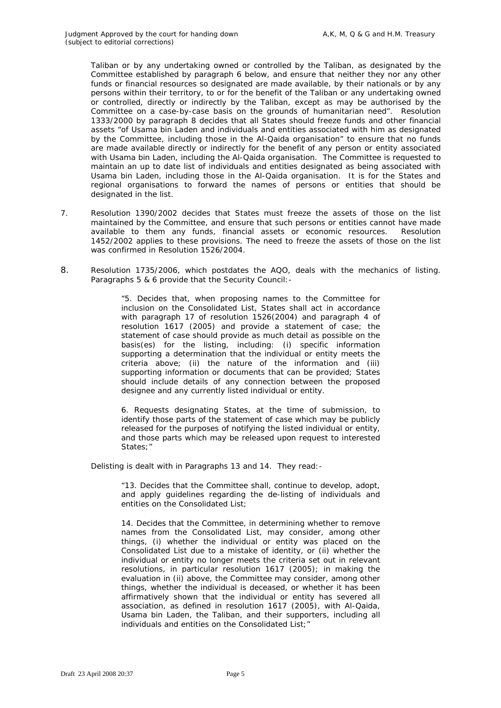Taliban or by any undertaking owned or controlled by the Taliban, as designated by the Committee established by paragraph 6 below, and ensure that neither they nor any other funds or financial resources so designated are made available, by their nationals or by any persons within their territory, to or for the benefit of the Taliban or any undertaking owned or controlled, directly or indirectly by the Taliban, except as may be authorised by the Committee on a case-by-case basis on the grounds of humanitarian need". Resolution 1333/2000 by paragraph 8 decides that all States should freeze funds and other financial assets "of Usama bin Laden and individuals and entities associated with him as designated by the Committee, including those in the Al-Qaida organisation" to ensure that no funds are made available directly or indirectly for the benefit of any person or entity associated with Usama bin Laden, including the Al-Qaida organisation. The Committee is requested to maintain an up to date list of individuals and entities designated as being associated with Usama bin Laden, including those in the Al-Qaida organisation. It is for the States and regional organisations to forward the names of persons or entities that should be designated in the list.

- 7. Resolution 1390/2002 decides that States must freeze the assets of those on the list maintained by the Committee, and ensure that such persons or entities cannot have made available to them any funds, financial assets or economic resources. Resolution 1452/2002 applies to these provisions. The need to freeze the assets of those on the list was confirmed in Resolution 1526/2004.
- 8. Resolution 1735/2006, which postdates the AQO, deals with the mechanics of listing. Paragraphs 5 & 6 provide that the Security Council:-

"5. Decides that, when proposing names to the Committee for inclusion on the Consolidated List, States shall act in accordance with paragraph 17 of resolution 1526(2004) and paragraph 4 of resolution 1617 (2005) and provide a statement of case; the statement of case should provide as much detail as possible on the basis(es) for the listing, including: (i) specific information supporting a determination that the individual or entity meets the criteria above; (ii) the nature of the information and (iii) supporting information or documents that can be provided; States should include details of any connection between the proposed designee and any currently listed individual or entity.

6. Requests designating States, at the time of submission, to identify those parts of the statement of case which may be publicly released for the purposes of notifying the listed individual or entity, and those parts which may be released upon request to interested States;"

Delisting is dealt with in Paragraphs 13 and 14. They read:-

"13. Decides that the Committee shall, continue to develop, adopt, and apply guidelines regarding the de-listing of individuals and entities on the Consolidated List;

14. Decides that the Committee, in determining whether to remove names from the Consolidated List, may consider, among other things, (i) whether the individual or entity was placed on the Consolidated List due to a mistake of identity, or (ii) whether the individual or entity no longer meets the criteria set out in relevant resolutions, in particular resolution 1617 (2005); in making the evaluation in (ii) above, the Committee may consider, among other things, whether the individual is deceased, or whether it has been affirmatively shown that the individual or entity has severed all association, as defined in resolution 1617 (2005), with Al-Qaida, Usama bin Laden, the Taliban, and their supporters, including all individuals and entities on the Consolidated List;"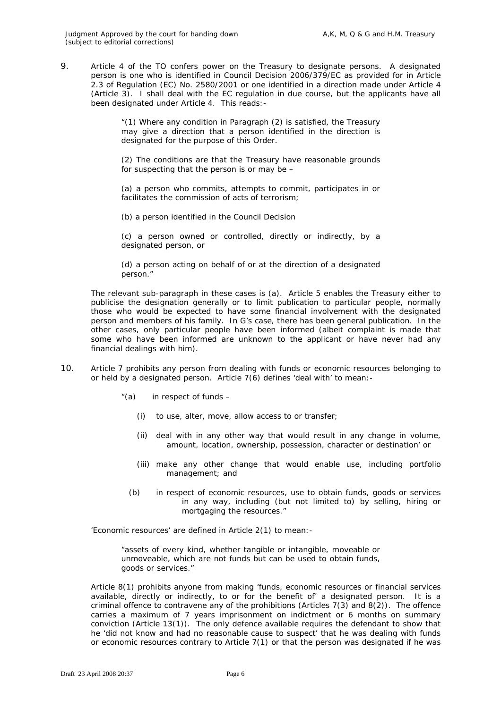9. Article 4 of the TO confers power on the Treasury to designate persons. A designated person is one who is identified in Council Decision 2006/379/EC as provided for in Article 2.3 of Regulation (EC) No. 2580/2001 or one identified in a direction made under Article 4 (Article 3). I shall deal with the EC regulation in due course, but the applicants have all been designated under Article 4. This reads:-

> "(1) Where any condition in Paragraph (2) is satisfied, the Treasury may give a direction that a person identified in the direction is designated for the purpose of this Order.

> (2) The conditions are that the Treasury have reasonable grounds for suspecting that the person is or may be –

> (a) a person who commits, attempts to commit, participates in or facilitates the commission of acts of terrorism;

(b) a person identified in the Council Decision

(c) a person owned or controlled, directly or indirectly, by a designated person, or

(d) a person acting on behalf of or at the direction of a designated person."

The relevant sub-paragraph in these cases is (a). Article 5 enables the Treasury either to publicise the designation generally or to limit publication to particular people, normally those who would be expected to have some financial involvement with the designated person and members of his family. In G's case, there has been general publication. In the other cases, only particular people have been informed (albeit complaint is made that some who have been informed are unknown to the applicant or have never had any financial dealings with him).

- 10. Article 7 prohibits any person from dealing with funds or economic resources belonging to or held by a designated person. Article 7(6) defines 'deal with' to mean:-
	- "(a) in respect of funds
		- (i) to use, alter, move, allow access to or transfer;
		- (ii) deal with in any other way that would result in any change in volume, amount, location, ownership, possession, character or destination' or
		- (iii) make any other change that would enable use, including portfolio management; and
		- (b) in respect of economic resources, use to obtain funds, goods or services in any way, including (but not limited to) by selling, hiring or mortgaging the resources."

'Economic resources' are defined in Article 2(1) to mean:-

"assets of every kind, whether tangible or intangible, moveable or unmoveable, which are not funds but can be used to obtain funds, goods or services."

Article 8(1) prohibits anyone from making 'funds, economic resources or financial services available, directly or indirectly, to or for the benefit of' a designated person. It is a criminal offence to contravene any of the prohibitions (Articles 7(3) and 8(2)). The offence carries a maximum of 7 years imprisonment on indictment or 6 months on summary conviction (Article 13(1)). The only defence available requires the defendant to show that he 'did not know and had no reasonable cause to suspect' that he was dealing with funds or economic resources contrary to Article 7(1) or that the person was designated if he was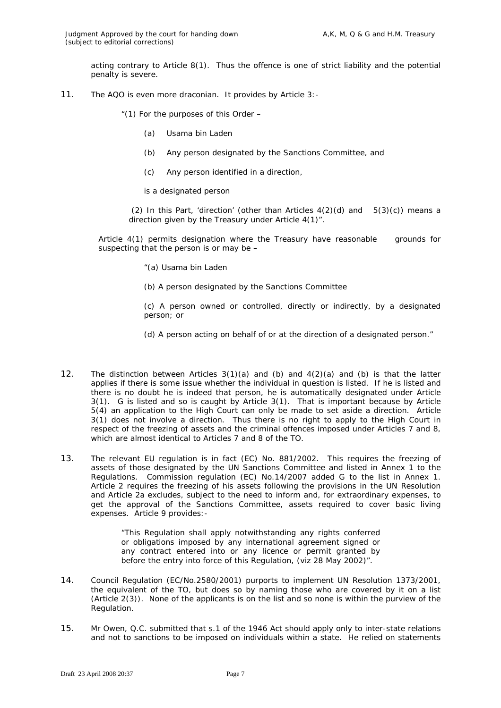acting contrary to Article 8(1). Thus the offence is one of strict liability and the potential penalty is severe.

11. The AQO is even more draconian. It provides by Article 3:-

"(1) For the purposes of this Order  $-$ 

- (a) Usama bin Laden
- (b) Any person designated by the Sanctions Committee, and
- (c) Any person identified in a direction,
- is a designated person

(2) In this Part, 'direction' (other than Articles  $4(2)(d)$  and  $5(3)(c)$ ) means a direction given by the Treasury under Article 4(1)".

Article 4(1) permits designation where the Treasury have reasonable grounds for suspecting that the person is or may be –

- "(a) Usama bin Laden
- (b) A person designated by the Sanctions Committee

(c) A person owned or controlled, directly or indirectly, by a designated person; or

(d) A person acting on behalf of or at the direction of a designated person."

- 12. The distinction between Articles  $3(1)(a)$  and  $(b)$  and  $4(2)(a)$  and  $(b)$  is that the latter applies if there is some issue whether the individual in question is listed. If he is listed and there is no doubt he is indeed that person, he is automatically designated under Article 3(1). G is listed and so is caught by Article 3(1). That is important because by Article 5(4) an application to the High Court can only be made to set aside a direction. Article 3(1) does not involve a direction. Thus there is no right to apply to the High Court in respect of the freezing of assets and the criminal offences imposed under Articles 7 and 8, which are almost identical to Articles 7 and 8 of the TO.
- 13. The relevant EU regulation is in fact (EC) No. 881/2002. This requires the freezing of assets of those designated by the UN Sanctions Committee and listed in Annex 1 to the Regulations. Commission regulation (EC) No.14/2007 added G to the list in Annex 1. Article 2 requires the freezing of his assets following the provisions in the UN Resolution and Article 2a excludes, subject to the need to inform and, for extraordinary expenses, to get the approval of the Sanctions Committee, assets required to cover basic living expenses. Article 9 provides:-

"This Regulation shall apply notwithstanding any rights conferred or obligations imposed by any international agreement signed or any contract entered into or any licence or permit granted by before the entry into force of this Regulation, (viz 28 May 2002)".

- 14. Council Regulation (EC/No.2580/2001) purports to implement UN Resolution 1373/2001, the equivalent of the TO, but does so by naming those who are covered by it on a list (Article 2(3)). None of the applicants is on the list and so none is within the purview of the Regulation.
- 15. Mr Owen, Q.C. submitted that s.1 of the 1946 Act should apply only to inter-state relations and not to sanctions to be imposed on individuals within a state. He relied on statements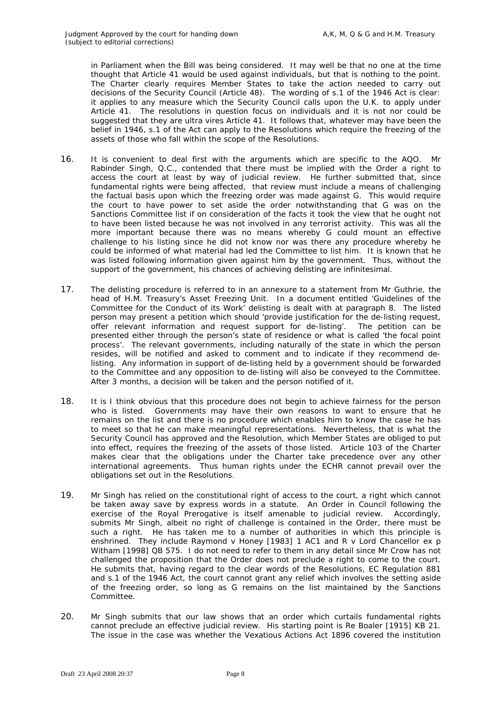in Parliament when the Bill was being considered. It may well be that no one at the time thought that Article 41 would be used against individuals, but that is nothing to the point. The Charter clearly requires Member States to take the action needed to carry out decisions of the Security Council (Article 48). The wording of s.1 of the 1946 Act is clear: it applies to any measure which the Security Council calls upon the U.K. to apply under Article 41. The resolutions in question focus on individuals and it is not nor could be suggested that they are ultra vires Article 41. It follows that, whatever may have been the belief in 1946, s.1 of the Act can apply to the Resolutions which require the freezing of the assets of those who fall within the scope of the Resolutions.

- 16. It is convenient to deal first with the arguments which are specific to the AQO. Mr Rabinder Singh, Q.C., contended that there must be implied with the Order a right to access the court at least by way of judicial review. He further submitted that, since fundamental rights were being affected, that review must include a means of challenging the factual basis upon which the freezing order was made against G. This would require the court to have power to set aside the order notwithstanding that G was on the Sanctions Committee list if on consideration of the facts it took the view that he ought not to have been listed because he was not involved in any terrorist activity. This was all the more important because there was no means whereby G could mount an effective challenge to his listing since he did not know nor was there any procedure whereby he could be informed of what material had led the Committee to list him. It is known that he was listed following information given against him by the government. Thus, without the support of the government, his chances of achieving delisting are infinitesimal.
- 17. The delisting procedure is referred to in an annexure to a statement from Mr Guthrie, the head of H.M. Treasury's Asset Freezing Unit. In a document entitled 'Guidelines of the Committee for the Conduct of its Work' delisting is dealt with at paragraph 8. The listed person may present a petition which should 'provide justification for the de-listing request, offer relevant information and request support for de-listing'. The petition can be presented either through the person's state of residence or what is called 'the focal point process'. The relevant governments, including naturally of the state in which the person resides, will be notified and asked to comment and to indicate if they recommend delisting. Any information in support of de-listing held by a government should be forwarded to the Committee and any opposition to de-listing will also be conveyed to the Committee. After 3 months, a decision will be taken and the person notified of it.
- 18. It is I think obvious that this procedure does not begin to achieve fairness for the person who is listed. Governments may have their own reasons to want to ensure that he remains on the list and there is no procedure which enables him to know the case he has to meet so that he can make meaningful representations. Nevertheless, that is what the Security Council has approved and the Resolution, which Member States are obliged to put into effect, requires the freezing of the assets of those listed. Article 103 of the Charter makes clear that the obligations under the Charter take precedence over any other international agreements. Thus human rights under the ECHR cannot prevail over the obligations set out in the Resolutions.
- 19. Mr Singh has relied on the constitutional right of access to the court, a right which cannot be taken away save by express words in a statute. An Order in Council following the exercise of the Royal Prerogative is itself amenable to judicial review. Accordingly, submits Mr Singh, albeit no right of challenge is contained in the Order, there must be such a right. He has taken me to a number of authorities in which this principle is enshrined. They include *Raymond v Honey* [1983] 1 AC1 and *R v Lord Chancellor ex p Witham* [1998] QB 575. I do not need to refer to them in any detail since Mr Crow has not challenged the proposition that the Order does not preclude a right to come to the court. He submits that, having regard to the clear words of the Resolutions, EC Regulation 881 and s.1 of the 1946 Act, the court cannot grant any relief which involves the setting aside of the freezing order, so long as G remains on the list maintained by the Sanctions Committee.
- 20. Mr Singh submits that our law shows that an order which curtails fundamental rights cannot preclude an effective judicial review. His starting point is *Re Boaler* [1915] KB 21. The issue in the case was whether the Vexatious Actions Act 1896 covered the institution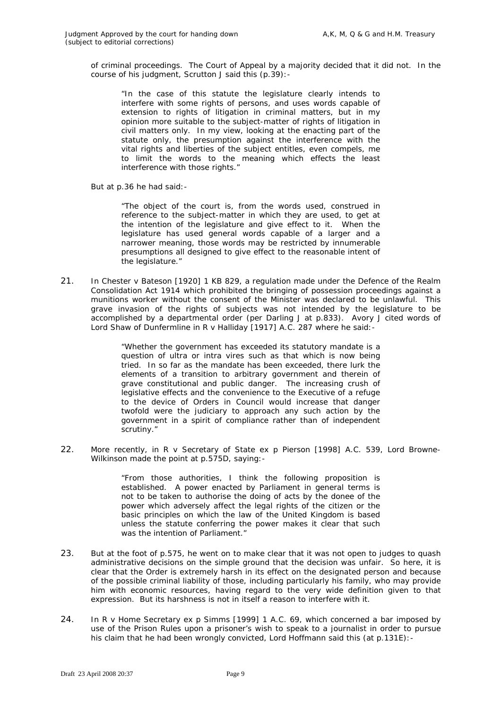of criminal proceedings. The Court of Appeal by a majority decided that it did not. In the course of his judgment, Scrutton J said this (p.39):-

"In the case of this statute the legislature clearly intends to interfere with some rights of persons, and uses words capable of extension to rights of litigation in criminal matters, but in my opinion more suitable to the subject-matter of rights of litigation in civil matters only. In my view, looking at the enacting part of the statute only, the presumption against the interference with the vital rights and liberties of the subject entitles, even compels, me to limit the words to the meaning which effects the least interference with those rights."

But at p.36 he had said:-

"The object of the court is, from the words used, construed in reference to the subject-matter in which they are used, to get at the intention of the legislature and give effect to it. When the legislature has used general words capable of a larger and a narrower meaning, those words may be restricted by innumerable presumptions all designed to give effect to the reasonable intent of the legislature."

21. In *Chester v Bateson* [1920] 1 KB 829, a regulation made under the Defence of the Realm Consolidation Act 1914 which prohibited the bringing of possession proceedings against a munitions worker without the consent of the Minister was declared to be unlawful. This grave invasion of the rights of subjects was not intended by the legislature to be accomplished by a departmental order (per Darling J at p.833). Avory J cited words of Lord Shaw of Dunfermline in *R v Halliday* [1917] A.C. 287 where he said:-

> "Whether the government has exceeded its statutory mandate is a question of ultra or intra vires such as that which is now being tried. In so far as the mandate has been exceeded, there lurk the elements of a transition to arbitrary government and therein of grave constitutional and public danger. The increasing crush of legislative effects and the convenience to the Executive of a refuge to the device of Orders in Council would increase that danger twofold were the judiciary to approach any such action by the government in a spirit of compliance rather than of independent scrutiny."

22. More recently, in *R v Secretary of State ex p Pierson* [1998] A.C. 539, Lord Browne-Wilkinson made the point at p.575D, saying:-

> "From those authorities, I think the following proposition is established. A power enacted by Parliament in general terms is not to be taken to authorise the doing of acts by the donee of the power which adversely affect the legal rights of the citizen or the basic principles on which the law of the United Kingdom is based unless the statute conferring the power makes it clear that such was the intention of Parliament."

- 23. But at the foot of p.575, he went on to make clear that it was not open to judges to quash administrative decisions on the simple ground that the decision was unfair. So here, it is clear that the Order is extremely harsh in its effect on the designated person and because of the possible criminal liability of those, including particularly his family, who may provide him with economic resources, having regard to the very wide definition given to that expression. But its harshness is not in itself a reason to interfere with it.
- 24. In *R v Home Secretary ex p Simms* [1999] 1 A.C. 69, which concerned a bar imposed by use of the Prison Rules upon a prisoner's wish to speak to a journalist in order to pursue his claim that he had been wrongly convicted, Lord Hoffmann said this (at p.131E):-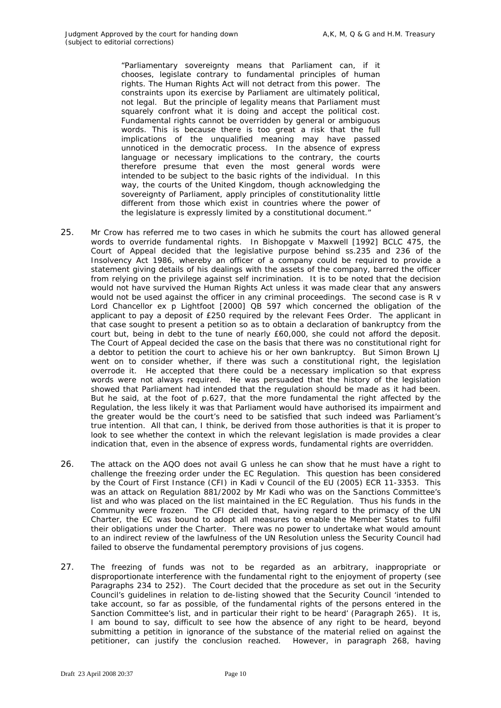"Parliamentary sovereignty means that Parliament can, if it chooses, legislate contrary to fundamental principles of human rights. The Human Rights Act will not detract from this power. The constraints upon its exercise by Parliament are ultimately political, not legal. But the principle of legality means that Parliament must squarely confront what it is doing and accept the political cost. Fundamental rights cannot be overridden by general or ambiguous words. This is because there is too great a risk that the full implications of the unqualified meaning may have passed unnoticed in the democratic process. In the absence of express language or necessary implications to the contrary, the courts therefore presume that even the most general words were intended to be subject to the basic rights of the individual. In this way, the courts of the United Kingdom, though acknowledging the sovereignty of Parliament, apply principles of constitutionality little different from those which exist in countries where the power of the legislature is expressly limited by a constitutional document."

- 25. Mr Crow has referred me to two cases in which he submits the court has allowed general words to override fundamental rights. In *Bishopgate v Maxwell* [1992] BCLC 475, the Court of Appeal decided that the legislative purpose behind ss.235 and 236 of the Insolvency Act 1986, whereby an officer of a company could be required to provide a statement giving details of his dealings with the assets of the company, barred the officer from relying on the privilege against self incrimination. It is to be noted that the decision would not have survived the Human Rights Act unless it was made clear that any answers would not be used against the officer in any criminal proceedings. The second case is *R v Lord Chancellor ex p Lightfoot* [2000] QB 597 which concerned the obligation of the applicant to pay a deposit of £250 required by the relevant Fees Order. The applicant in that case sought to present a petition so as to obtain a declaration of bankruptcy from the court but, being in debt to the tune of nearly £60,000, she could not afford the deposit. The Court of Appeal decided the case on the basis that there was no constitutional right for a debtor to petition the court to achieve his or her own bankruptcy. But Simon Brown LJ went on to consider whether, if there was such a constitutional right, the legislation overrode it. He accepted that there could be a necessary implication so that express words were not always required. He was persuaded that the history of the legislation showed that Parliament had intended that the regulation should be made as it had been. But he said, at the foot of p.627, that the more fundamental the right affected by the Regulation, the less likely it was that Parliament would have authorised its impairment and the greater would be the court's need to be satisfied that such indeed was Parliament's true intention. All that can, I think, be derived from those authorities is that it is proper to look to see whether the context in which the relevant legislation is made provides a clear indication that, even in the absence of express words, fundamental rights are overridden.
- 26. The attack on the AQO does not avail G unless he can show that he must have a right to challenge the freezing order under the EC Regulation. This question has been considered by the Court of First Instance (CFI) in *Kadi v Council of the EU* (2005) ECR 11-3353. This was an attack on Regulation 881/2002 by Mr Kadi who was on the Sanctions Committee's list and who was placed on the list maintained in the EC Regulation. Thus his funds in the Community were frozen. The CFI decided that, having regard to the primacy of the UN Charter, the EC was bound to adopt all measures to enable the Member States to fulfil their obligations under the Charter. There was no power to undertake what would amount to an indirect review of the lawfulness of the UN Resolution unless the Security Council had failed to observe the fundamental peremptory provisions of jus cogens.
- 27. The freezing of funds was not to be regarded as an arbitrary, inappropriate or disproportionate interference with the fundamental right to the enjoyment of property (see Paragraphs 234 to 252). The Court decided that the procedure as set out in the Security Council's guidelines in relation to de-listing showed that the Security Council 'intended to take account, so far as possible, of the fundamental rights of the persons entered in the Sanction Committee's list, and in particular their right to be heard' (Paragraph 265). It is, I am bound to say, difficult to see how the absence of any right to be heard, beyond submitting a petition in ignorance of the substance of the material relied on against the petitioner, can justify the conclusion reached. However, in paragraph 268, having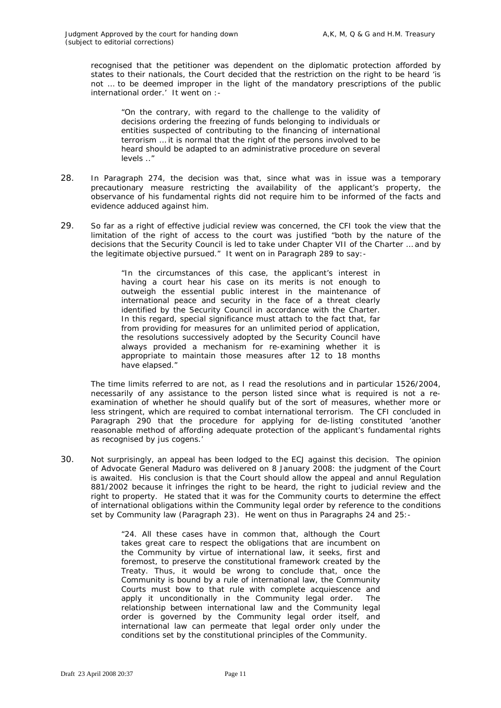recognised that the petitioner was dependent on the diplomatic protection afforded by states to their nationals, the Court decided that the restriction on the right to be heard 'is not … to be deemed improper in the light of the mandatory prescriptions of the public international order.' It went on :-

"On the contrary, with regard to the challenge to the validity of decisions ordering the freezing of funds belonging to individuals or entities suspected of contributing to the financing of international terrorism … it is normal that the right of the persons involved to be heard should be adapted to an administrative procedure on several levels .."

- 28. In Paragraph 274, the decision was that, since what was in issue was a temporary precautionary measure restricting the availability of the applicant's property, the observance of his fundamental rights did not require him to be informed of the facts and evidence adduced against him.
- 29. So far as a right of effective judicial review was concerned, the CFI took the view that the limitation of the right of access to the court was justified "both by the nature of the decisions that the Security Council is led to take under Chapter VII of the Charter … and by the legitimate objective pursued." It went on in Paragraph 289 to say:-

"In the circumstances of this case, the applicant's interest in having a court hear his case on its merits is not enough to outweigh the essential public interest in the maintenance of international peace and security in the face of a threat clearly identified by the Security Council in accordance with the Charter. In this regard, special significance must attach to the fact that, far from providing for measures for an unlimited period of application, the resolutions successively adopted by the Security Council have always provided a mechanism for re-examining whether it is appropriate to maintain those measures after 12 to 18 months have elapsed."

The time limits referred to are not, as I read the resolutions and in particular 1526/2004, necessarily of any assistance to the person listed since what is required is not a reexamination of whether he should qualify but of the sort of measures, whether more or less stringent, which are required to combat international terrorism. The CFI concluded in Paragraph 290 that the procedure for applying for de-listing constituted 'another reasonable method of affording adequate protection of the applicant's fundamental rights as recognised by jus cogens.'

30. Not surprisingly, an appeal has been lodged to the ECJ against this decision. The opinion of Advocate General Maduro was delivered on 8 January 2008: the judgment of the Court is awaited. His conclusion is that the Court should allow the appeal and annul Regulation 881/2002 because it infringes the right to be heard, the right to judicial review and the right to property. He stated that it was for the Community courts to determine the effect of international obligations within the Community legal order by reference to the conditions set by Community law (Paragraph 23). He went on thus in Paragraphs 24 and 25:-

> "24. All these cases have in common that, although the Court takes great care to respect the obligations that are incumbent on the Community by virtue of international law, it seeks, first and foremost, to preserve the constitutional framework created by the Treaty. Thus, it would be wrong to conclude that, once the Community is bound by a rule of international law, the Community Courts must bow to that rule with complete acquiescence and apply it unconditionally in the Community legal order. The relationship between international law and the Community legal order is governed by the Community legal order itself, and international law can permeate that legal order only under the conditions set by the constitutional principles of the Community.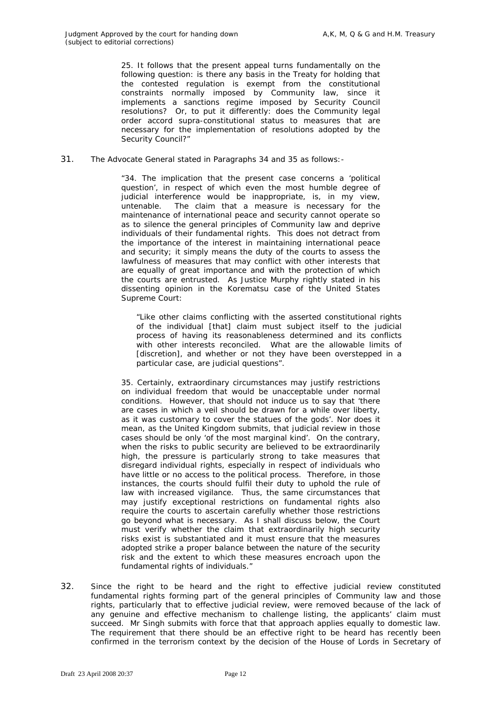25. It follows that the present appeal turns fundamentally on the following question: is there any basis in the Treaty for holding that the contested regulation is exempt from the constitutional constraints normally imposed by Community law, since it implements a sanctions regime imposed by Security Council resolutions? Or, to put it differently: does the Community legal order accord supra-constitutional status to measures that are necessary for the implementation of resolutions adopted by the Security Council?"

31. The Advocate General stated in Paragraphs 34 and 35 as follows:-

"34. The implication that the present case concerns a 'political question', in respect of which even the most humble degree of judicial interference would be inappropriate, is, in my view, untenable. The claim that a measure is necessary for the maintenance of international peace and security cannot operate so as to silence the general principles of Community law and deprive individuals of their fundamental rights. This does not detract from the importance of the interest in maintaining international peace and security; it simply means the duty of the courts to assess the lawfulness of measures that may conflict with other interests that are equally of great importance and with the protection of which the courts are entrusted. As Justice Murphy rightly stated in his dissenting opinion in the *Korematsu* case of the United States Supreme Court:

"Like other claims conflicting with the asserted constitutional rights of the individual [that] claim must subject itself to the judicial process of having its reasonableness determined and its conflicts with other interests reconciled. What are the allowable limits of [discretion], and whether or not they have been overstepped in a particular case, are judicial questions".

35. Certainly, extraordinary circumstances may justify restrictions on individual freedom that would be unacceptable under normal conditions. However, that should not induce us to say that 'there are cases in which a veil should be drawn for a while over liberty, as it was customary to cover the statues of the gods'. Nor does it mean, as the United Kingdom submits, that judicial review in those cases should be only 'of the most marginal kind'. On the contrary, when the risks to public security are believed to be extraordinarily high, the pressure is particularly strong to take measures that disregard individual rights, especially in respect of individuals who have little or no access to the political process. Therefore, in those instances, the courts should fulfil their duty to uphold the rule of law with increased vigilance. Thus, the same circumstances that may justify exceptional restrictions on fundamental rights also require the courts to ascertain carefully whether those restrictions go beyond what is necessary. As I shall discuss below, the Court must verify whether the claim that extraordinarily high security risks exist is substantiated and it must ensure that the measures adopted strike a proper balance between the nature of the security risk and the extent to which these measures encroach upon the fundamental rights of individuals."

32. Since the right to be heard and the right to effective judicial review constituted fundamental rights forming part of the general principles of Community law and those rights, particularly that to effective judicial review, were removed because of the lack of any genuine and effective mechanism to challenge listing, the applicants' claim must succeed. Mr Singh submits with force that that approach applies equally to domestic law. The requirement that there should be an effective right to be heard has recently been confirmed in the terrorism context by the decision of the House of Lords in *Secretary of*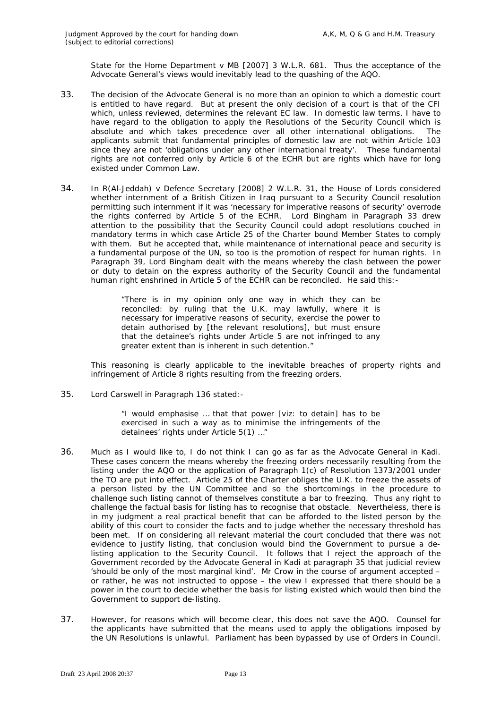*State for the Home Department v MB* [2007] 3 W.L.R. 681. Thus the acceptance of the Advocate General's views would inevitably lead to the quashing of the AQO.

- 33. The decision of the Advocate General is no more than an opinion to which a domestic court is entitled to have regard. But at present the only decision of a court is that of the CFI which, unless reviewed, determines the relevant EC law. In domestic law terms, I have to have regard to the obligation to apply the Resolutions of the Security Council which is absolute and which takes precedence over all other international obligations. The applicants submit that fundamental principles of domestic law are not within Article 103 since they are not 'obligations under any other international treaty'. These fundamental rights are not conferred only by Article 6 of the ECHR but are rights which have for long existed under Common Law.
- 34. In *R(Al-Jeddah) v Defence Secretary* [2008] 2 W.L.R. 31, the House of Lords considered whether internment of a British Citizen in Iraq pursuant to a Security Council resolution permitting such internment if it was 'necessary for imperative reasons of security' overrode the rights conferred by Article 5 of the ECHR. Lord Bingham in Paragraph 33 drew attention to the possibility that the Security Council could adopt resolutions couched in mandatory terms in which case Article 25 of the Charter bound Member States to comply with them. But he accepted that, while maintenance of international peace and security is a fundamental purpose of the UN, so too is the promotion of respect for human rights. In Paragraph 39, Lord Bingham dealt with the means whereby the clash between the power or duty to detain on the express authority of the Security Council and the fundamental human right enshrined in Article 5 of the ECHR can be reconciled. He said this:-

"There is in my opinion only one way in which they can be reconciled: by ruling that the U.K. may lawfully, where it is necessary for imperative reasons of security, exercise the power to detain authorised by [the relevant resolutions], but must ensure that the detainee's rights under Article 5 are not infringed to any greater extent than is inherent in such detention."

This reasoning is clearly applicable to the inevitable breaches of property rights and infringement of Article 8 rights resulting from the freezing orders.

35. Lord Carswell in Paragraph 136 stated:-

"I would emphasise … that that power [viz: to detain] has to be exercised in such a way as to minimise the infringements of the detainees' rights under Article 5(1) …"

- 36. Much as I would like to, I do not think I can go as far as the Advocate General in *Kadi*. These cases concern the means whereby the freezing orders necessarily resulting from the listing under the AQO or the application of Paragraph 1(c) of Resolution 1373/2001 under the TO are put into effect. Article 25 of the Charter obliges the U.K. to freeze the assets of a person listed by the UN Committee and so the shortcomings in the procedure to challenge such listing cannot of themselves constitute a bar to freezing. Thus any right to challenge the factual basis for listing has to recognise that obstacle. Nevertheless, there is in my judgment a real practical benefit that can be afforded to the listed person by the ability of this court to consider the facts and to judge whether the necessary threshold has been met. If on considering all relevant material the court concluded that there was not evidence to justify listing, that conclusion would bind the Government to pursue a delisting application to the Security Council. It follows that I reject the approach of the Government recorded by the Advocate General in *Kadi* at paragraph 35 that judicial review 'should be only of the most marginal kind'. Mr Crow in the course of argument accepted – or rather, he was not instructed to oppose – the view I expressed that there should be a power in the court to decide whether the basis for listing existed which would then bind the Government to support de-listing.
- 37. However, for reasons which will become clear, this does not save the AQO. Counsel for the applicants have submitted that the means used to apply the obligations imposed by the UN Resolutions is unlawful. Parliament has been bypassed by use of Orders in Council.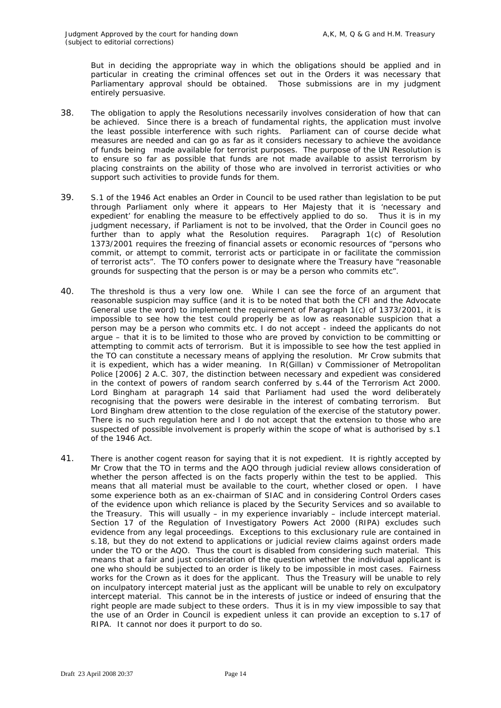But in deciding the appropriate way in which the obligations should be applied and in particular in creating the criminal offences set out in the Orders it was necessary that Parliamentary approval should be obtained. Those submissions are in my judgment entirely persuasive.

- 38. The obligation to apply the Resolutions necessarily involves consideration of how that can be achieved. Since there is a breach of fundamental rights, the application must involve the least possible interference with such rights. Parliament can of course decide what measures are needed and can go as far as it considers necessary to achieve the avoidance of funds being made available for terrorist purposes. The purpose of the UN Resolution is to ensure so far as possible that funds are not made available to assist terrorism by placing constraints on the ability of those who are involved in terrorist activities or who support such activities to provide funds for them.
- 39. S.1 of the 1946 Act enables an Order in Council to be used rather than legislation to be put through Parliament only where it appears to Her Majesty that it is 'necessary and expedient' for enabling the measure to be effectively applied to do so. Thus it is in my judgment necessary, if Parliament is not to be involved, that the Order in Council goes no further than to apply what the Resolution requires. Paragraph 1(c) of Resolution 1373/2001 requires the freezing of financial assets or economic resources of "persons who commit, or attempt to commit, terrorist acts or participate in or facilitate the commission of terrorist acts". The TO confers power to designate where the Treasury have "reasonable grounds for suspecting that the person is or *may be* a person who commits etc".
- 40. The threshold is thus a very low one. While I can see the force of an argument that reasonable suspicion may suffice (and it is to be noted that both the CFI and the Advocate General use the word) to implement the requirement of Paragraph 1(c) of 1373/2001, it is impossible to see how the test could properly be as low as reasonable suspicion that a person may be a person who commits etc. I do not accept - indeed the applicants do not argue – that it is to be limited to those who are proved by conviction to be committing or attempting to commit acts of terrorism. But it is impossible to see how the test applied in the TO can constitute a necessary means of applying the resolution. Mr Crow submits that it is expedient, which has a wider meaning. In *R(Gillan) v Commissioner of Metropolitan Police* [2006] 2 A.C. 307, the distinction between necessary and expedient was considered in the context of powers of random search conferred by s.44 of the Terrorism Act 2000. Lord Bingham at paragraph 14 said that Parliament had used the word deliberately recognising that the powers were desirable in the interest of combating terrorism. But Lord Bingham drew attention to the close regulation of the exercise of the statutory power. There is no such regulation here and I do not accept that the extension to those who are suspected of possible involvement is properly within the scope of what is authorised by s.1 of the 1946 Act.
- 41. There is another cogent reason for saying that it is not expedient. It is rightly accepted by Mr Crow that the TO in terms and the AQO through judicial review allows consideration of whether the person affected is on the facts properly within the test to be applied. This means that all material must be available to the court, whether closed or open. I have some experience both as an ex-chairman of SIAC and in considering Control Orders cases of the evidence upon which reliance is placed by the Security Services and so available to the Treasury. This will usually – in my experience invariably – include intercept material. Section 17 of the Regulation of Investigatory Powers Act 2000 (RIPA) excludes such evidence from any legal proceedings. Exceptions to this exclusionary rule are contained in s.18, but they do not extend to applications or judicial review claims against orders made under the TO or the AQO. Thus the court is disabled from considering such material. This means that a fair and just consideration of the question whether the individual applicant is one who should be subjected to an order is likely to be impossible in most cases. Fairness works for the Crown as it does for the applicant. Thus the Treasury will be unable to rely on inculpatory intercept material just as the applicant will be unable to rely on exculpatory intercept material. This cannot be in the interests of justice or indeed of ensuring that the right people are made subject to these orders. Thus it is in my view impossible to say that the use of an Order in Council is expedient unless it can provide an exception to s.17 of RIPA. It cannot nor does it purport to do so.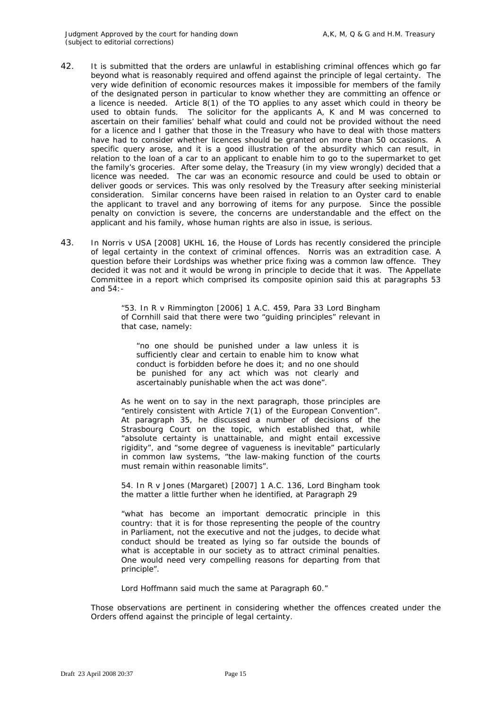- 42. It is submitted that the orders are unlawful in establishing criminal offences which go far beyond what is reasonably required and offend against the principle of legal certainty. The very wide definition of economic resources makes it impossible for members of the family of the designated person in particular to know whether they are committing an offence or a licence is needed. Article 8(1) of the TO applies to any asset which could in theory be used to obtain funds. The solicitor for the applicants A, K and M was concerned to ascertain on their families' behalf what could and could not be provided without the need for a licence and I gather that those in the Treasury who have to deal with those matters have had to consider whether licences should be granted on more than 50 occasions. A specific query arose, and it is a good illustration of the absurdity which can result, in relation to the loan of a car to an applicant to enable him to go to the supermarket to get the family's groceries. After some delay, the Treasury (in my view wrongly) decided that a licence was needed. The car was an economic resource and could be used to obtain or deliver goods or services. This was only resolved by the Treasury after seeking ministerial consideration. Similar concerns have been raised in relation to an Oyster card to enable the applicant to travel and any borrowing of items for any purpose. Since the possible penalty on conviction is severe, the concerns are understandable and the effect on the applicant and his family, whose human rights are also in issue, is serious.
- 43. In *Norris v USA* [2008] UKHL 16, the House of Lords has recently considered the principle of legal certainty in the context of criminal offences. *Norris* was an extradition case. A question before their Lordships was whether price fixing was a common law offence. They decided it was not and it would be wrong in principle to decide that it was. The Appellate Committee in a report which comprised its composite opinion said this at paragraphs 53 and 54:-

"53. In *R v Rimmington* [2006] 1 A.C. 459, Para 33 Lord Bingham of Cornhill said that there were two "guiding principles" relevant in that case, namely:

"no one should be punished under a law unless it is sufficiently clear and certain to enable him to know what conduct is forbidden before he does it; and no one should be punished for any act which was not clearly and ascertainably punishable when the act was done".

As he went on to say in the next paragraph, those principles are "entirely consistent with Article 7(1) of the European Convention". At paragraph 35, he discussed a number of decisions of the Strasbourg Court on the topic, which established that, while "absolute certainty is unattainable, and might entail excessive rigidity", and "some degree of vagueness is inevitable" particularly in common law systems, "the law-making function of the courts must remain within reasonable limits".

54. In *R v Jones (Margaret)* [2007] 1 A.C. 136, Lord Bingham took the matter a little further when he identified, at Paragraph 29

"what has become an important democratic principle in this country: that it is for those representing the people of the country in Parliament, not the executive and not the judges, to decide what conduct should be treated as lying so far outside the bounds of what is acceptable in our society as to attract criminal penalties. One would need very compelling reasons for departing from that principle".

Lord Hoffmann said much the same at Paragraph 60."

Those observations are pertinent in considering whether the offences created under the Orders offend against the principle of legal certainty.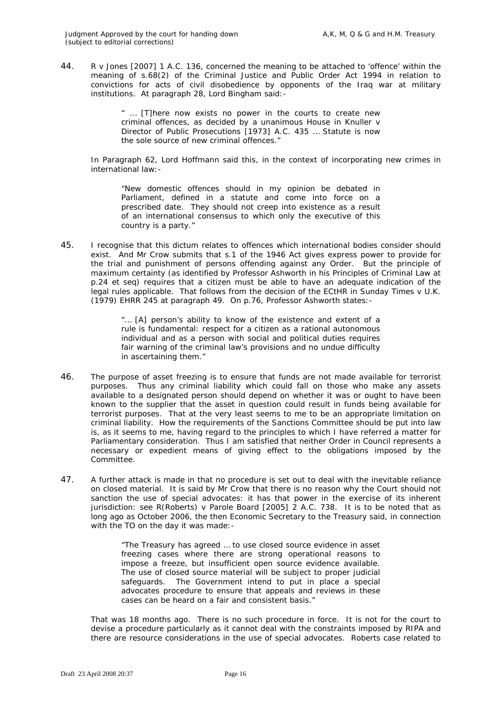44. *R v Jones* [2007] 1 A.C. 136, concerned the meaning to be attached to 'offence' within the meaning of s.68(2) of the Criminal Justice and Public Order Act 1994 in relation to convictions for acts of civil disobedience by opponents of the Iraq war at military institutions. At paragraph 28, Lord Bingham said:-

> " … [T]here now exists no power in the courts to create new criminal offences, as decided by a unanimous House in *Knuller v Director of Public Prosecutions* [1973] A.C. 435 … Statute is now the sole source of new criminal offences."

In Paragraph 62, Lord Hoffmann said this, in the context of incorporating new crimes in international law:-

"New domestic offences should in my opinion be debated in Parliament, defined in a statute and come into force on a prescribed date. They should not creep into existence as a result of an international consensus to which only the executive of this country is a party."

45. I recognise that this dictum relates to offences which international bodies consider should exist. And Mr Crow submits that s.1 of the 1946 Act gives express power to provide for the trial and punishment of persons offending against any Order. But the principle of maximum certainty (as identified by Professor Ashworth in his Principles of Criminal Law at p.24 et seq) requires that a citizen must be able to have an adequate indication of the legal rules applicable. That follows from the decision of the ECtHR in *Sunday Times v U.K.*  (1979) EHRR 245 at paragraph 49. On p.76, Professor Ashworth states:-

> "… [A] person's ability to know of the existence and extent of a rule is fundamental: respect for a citizen as a rational autonomous individual and as a person with social and political duties requires fair warning of the criminal law's provisions and no undue difficulty in ascertaining them."

- 46. The purpose of asset freezing is to ensure that funds are not made available for terrorist purposes. Thus any criminal liability which could fall on those who make any assets available to a designated person should depend on whether it was or ought to have been known to the supplier that the asset in question could result in funds being available for terrorist purposes. That at the very least seems to me to be an appropriate limitation on criminal liability. How the requirements of the Sanctions Committee should be put into law is, as it seems to me, having regard to the principles to which I have referred a matter for Parliamentary consideration. Thus I am satisfied that neither Order in Council represents a necessary or expedient means of giving effect to the obligations imposed by the Committee.
- 47. A further attack is made in that no procedure is set out to deal with the inevitable reliance on closed material. It is said by Mr Crow that there is no reason why the Court should not sanction the use of special advocates: it has that power in the exercise of its inherent jurisdiction: see *R(Roberts) v Parole Board* [2005] 2 A.C. 738. It is to be noted that as long ago as October 2006, the then Economic Secretary to the Treasury said, in connection with the TO on the day it was made:-

"The Treasury has agreed … to use closed source evidence in asset freezing cases where there are strong operational reasons to impose a freeze, but insufficient open source evidence available. The use of closed source material will be subject to proper judicial safeguards. The Government intend to put in place a special advocates procedure to ensure that appeals and reviews in these cases can be heard on a fair and consistent basis."

That was 18 months ago. There is no such procedure in force. It is not for the court to devise a procedure particularly as it cannot deal with the constraints imposed by RIPA and there are resource considerations in the use of special advocates. *Roberts* case related to